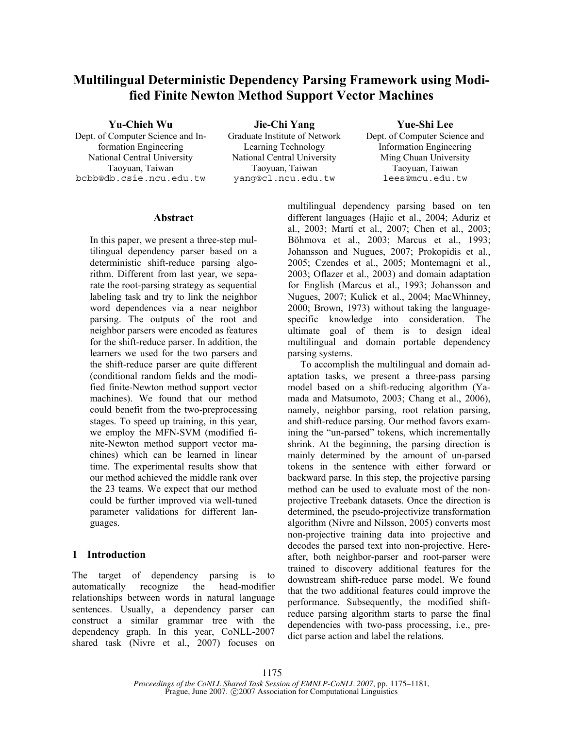# **Multilingual Deterministic Dependency Parsing Framework using Modified Finite Newton Method Support Vector Machines**

**Yu-Chieh Wu Jie-Chi Yang Yue-Shi Lee**

Dept. of Computer Science and Information Engineering National Central University National Central University Ming Chuan University bcbb@db.csie.ncu.edu.tw yang@cl.ncu.edu.tw lees@mcu.edu.tw

Graduate Institute of Network Learning Technology

Taoyuan, Taiwan Taoyuan, Taiwan Taoyuan, Taiwan

Dept. of Computer Science and Information Engineering

## **Abstract**

In this paper, we present a three-step multilingual dependency parser based on a deterministic shift-reduce parsing algorithm. Different from last year, we separate the root-parsing strategy as sequential labeling task and try to link the neighbor word dependences via a near neighbor parsing. The outputs of the root and neighbor parsers were encoded as features for the shift-reduce parser. In addition, the learners we used for the two parsers and the shift-reduce parser are quite different (conditional random fields and the modified finite-Newton method support vector machines). We found that our method could benefit from the two-preprocessing stages. To speed up training, in this year, we employ the MFN-SVM (modified finite-Newton method support vector machines) which can be learned in linear time. The experimental results show that our method achieved the middle rank over the 23 teams. We expect that our method could be further improved via well-tuned parameter validations for different languages.

# **1 Introduction**

The target of dependency parsing is to automatically recognize the head-modifier relationships between words in natural language sentences. Usually, a dependency parser can construct a similar grammar tree with the dependency graph. In this year, CoNLL-2007 shared task (Nivre et al., 2007) focuses on multilingual dependency parsing based on ten different languages (Hajic et al., 2004; Aduriz et al., 2003; Martí et al., 2007; Chen et al., 2003; Böhmova et al., 2003; Marcus et al., 1993; Johansson and Nugues, 2007; Prokopidis et al., 2005; Czendes et al., 2005; Montemagni et al., 2003; Oflazer et al., 2003) and domain adaptation for English (Marcus et al., 1993; Johansson and Nugues, 2007; Kulick et al., 2004; MacWhinney, 2000; Brown, 1973) without taking the languagespecific knowledge into consideration. The ultimate goal of them is to design ideal multilingual and domain portable dependency parsing systems.

To accomplish the multilingual and domain adaptation tasks, we present a three-pass parsing model based on a shift-reducing algorithm (Yamada and Matsumoto, 2003; Chang et al., 2006), namely, neighbor parsing, root relation parsing, and shift-reduce parsing. Our method favors examining the "un-parsed" tokens, which incrementally shrink. At the beginning, the parsing direction is mainly determined by the amount of un-parsed tokens in the sentence with either forward or backward parse. In this step, the projective parsing method can be used to evaluate most of the nonprojective Treebank datasets. Once the direction is determined, the pseudo-projectivize transformation algorithm (Nivre and Nilsson, 2005) converts most non-projective training data into projective and decodes the parsed text into non-projective. Hereafter, both neighbor-parser and root-parser were trained to discovery additional features for the downstream shift-reduce parse model. We found that the two additional features could improve the performance. Subsequently, the modified shiftreduce parsing algorithm starts to parse the final dependencies with two-pass processing, i.e., predict parse action and label the relations.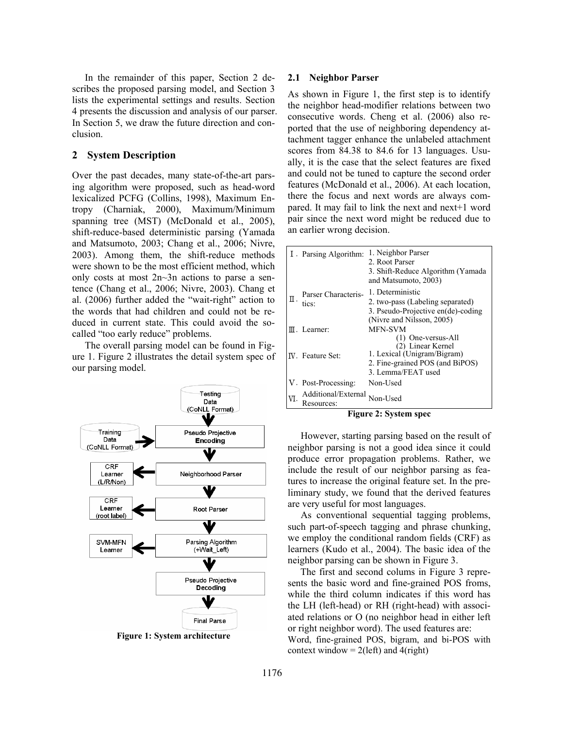In the remainder of this paper, Section 2 describes the proposed parsing model, and Section 3 lists the experimental settings and results. Section 4 presents the discussion and analysis of our parser. In Section 5, we draw the future direction and conclusion.

### **2 System Description**

Over the past decades, many state-of-the-art parsing algorithm were proposed, such as head-word lexicalized PCFG (Collins, 1998), Maximum Entropy (Charniak, 2000), Maximum/Minimum spanning tree (MST) (McDonald et al., 2005), shift-reduce-based deterministic parsing (Yamada and Matsumoto, 2003; Chang et al., 2006; Nivre, 2003). Among them, the shift-reduce methods were shown to be the most efficient method, which only costs at most 2n~3n actions to parse a sentence (Chang et al., 2006; Nivre, 2003). Chang et al. (2006) further added the "wait-right" action to the words that had children and could not be reduced in current state. This could avoid the socalled "too early reduce" problems.

The overall parsing model can be found in Figure 1. Figure 2 illustrates the detail system spec of our parsing model.



**Figure 1: System architecture** 

#### **2.1 Neighbor Parser**

As shown in Figure 1, the first step is to identify the neighbor head-modifier relations between two consecutive words. Cheng et al. (2006) also reported that the use of neighboring dependency attachment tagger enhance the unlabeled attachment scores from 84.38 to 84.6 for 13 languages. Usually, it is the case that the select features are fixed and could not be tuned to capture the second order features (McDonald et al., 2006). At each location, there the focus and next words are always compared. It may fail to link the next and next+1 word pair since the next word might be reduced due to an earlier wrong decision.

| I. Parsing Algorithm: |                     | 1. Neighbor Parser<br>2. Root Parser<br>3. Shift-Reduce Algorithm (Yamada)<br>and Matsumoto, 2003)                              |
|-----------------------|---------------------|---------------------------------------------------------------------------------------------------------------------------------|
| Π<br>tics:            | Parser Characteris- | 1. Deterministic<br>2. two-pass (Labeling separated)<br>3. Pseudo-Projective en(de)-coding                                      |
| $III$ . Learner:      |                     | (Nivre and Nilsson, 2005)<br><b>MFN-SVM</b>                                                                                     |
| IV. Feature Set:      |                     | (1) One-versus-All<br>(2) Linear Kernel<br>1. Lexical (Unigram/Bigram)<br>2. Fine-grained POS (and BiPOS)<br>3. Lemma/FEAT used |
| V. Post-Processing:   |                     | Non-Used                                                                                                                        |
| Resources:            | Additional/External | Non-Used                                                                                                                        |

**Figure 2: System spec** 

However, starting parsing based on the result of neighbor parsing is not a good idea since it could produce error propagation problems. Rather, we include the result of our neighbor parsing as features to increase the original feature set. In the preliminary study, we found that the derived features are very useful for most languages.

As conventional sequential tagging problems, such part-of-speech tagging and phrase chunking, we employ the conditional random fields (CRF) as learners (Kudo et al., 2004). The basic idea of the neighbor parsing can be shown in Figure 3.

The first and second colums in Figure 3 represents the basic word and fine-grained POS froms, while the third column indicates if this word has the LH (left-head) or RH (right-head) with associated relations or O (no neighbor head in either left or right neighbor word). The used features are: Word, fine-grained POS, bigram, and bi-POS with context window  $= 2$ (left) and 4(right)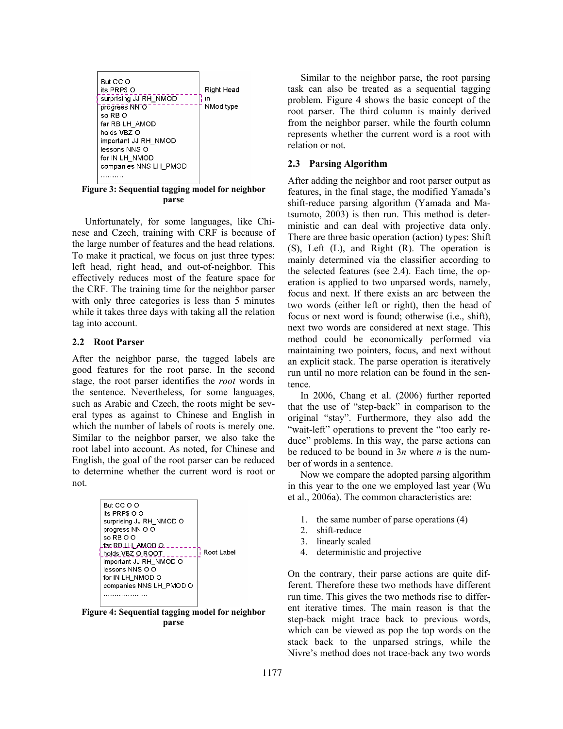| But CC O              |            |
|-----------------------|------------|
| its PRP\$ O           | Right Head |
| surprising JJ RH_NMOD | in         |
| progress NN O         | NMod type  |
| so RB O               |            |
| far RB LH AMOD        |            |
| holds VBZ O           |            |
| important JJ RH_NMOD  |            |
| lessons NNS O         |            |
| for IN LH NMOD        |            |
| companies NNS LH PMOD |            |
|                       |            |
|                       |            |

**Figure 3: Sequential tagging model for neighbor parse** 

Unfortunately, for some languages, like Chinese and Czech, training with CRF is because of the large number of features and the head relations. To make it practical, we focus on just three types: left head, right head, and out-of-neighbor. This effectively reduces most of the feature space for the CRF. The training time for the neighbor parser with only three categories is less than 5 minutes while it takes three days with taking all the relation tag into account.

#### **2.2 Root Parser**

After the neighbor parse, the tagged labels are good features for the root parse. In the second stage, the root parser identifies the *root* words in the sentence. Nevertheless, for some languages, such as Arabic and Czech, the roots might be several types as against to Chinese and English in which the number of labels of roots is merely one. Similar to the neighbor parser, we also take the root label into account. As noted, for Chinese and English, the goal of the root parser can be reduced to determine whether the current word is root or not.



**Figure 4: Sequential tagging model for neighbor parse** 

Similar to the neighbor parse, the root parsing task can also be treated as a sequential tagging problem. Figure 4 shows the basic concept of the root parser. The third column is mainly derived from the neighbor parser, while the fourth column represents whether the current word is a root with relation or not.

### **2.3 Parsing Algorithm**

After adding the neighbor and root parser output as features, in the final stage, the modified Yamada's shift-reduce parsing algorithm (Yamada and Matsumoto, 2003) is then run. This method is deterministic and can deal with projective data only. There are three basic operation (action) types: Shift (S), Left (L), and Right (R). The operation is mainly determined via the classifier according to the selected features (see 2.4). Each time, the operation is applied to two unparsed words, namely, focus and next. If there exists an arc between the two words (either left or right), then the head of focus or next word is found; otherwise (i.e., shift), next two words are considered at next stage. This method could be economically performed via maintaining two pointers, focus, and next without an explicit stack. The parse operation is iteratively run until no more relation can be found in the sentence.

In 2006, Chang et al. (2006) further reported that the use of "step-back" in comparison to the original "stay". Furthermore, they also add the "wait-left" operations to prevent the "too early reduce" problems. In this way, the parse actions can be reduced to be bound in 3*n* where *n* is the number of words in a sentence.

Now we compare the adopted parsing algorithm in this year to the one we employed last year (Wu et al., 2006a). The common characteristics are:

- 1. the same number of parse operations (4)
- 2. shift-reduce
- 3. linearly scaled
- 4. deterministic and projective

On the contrary, their parse actions are quite different. Therefore these two methods have different run time. This gives the two methods rise to different iterative times. The main reason is that the step-back might trace back to previous words, which can be viewed as pop the top words on the stack back to the unparsed strings, while the Nivre's method does not trace-back any two words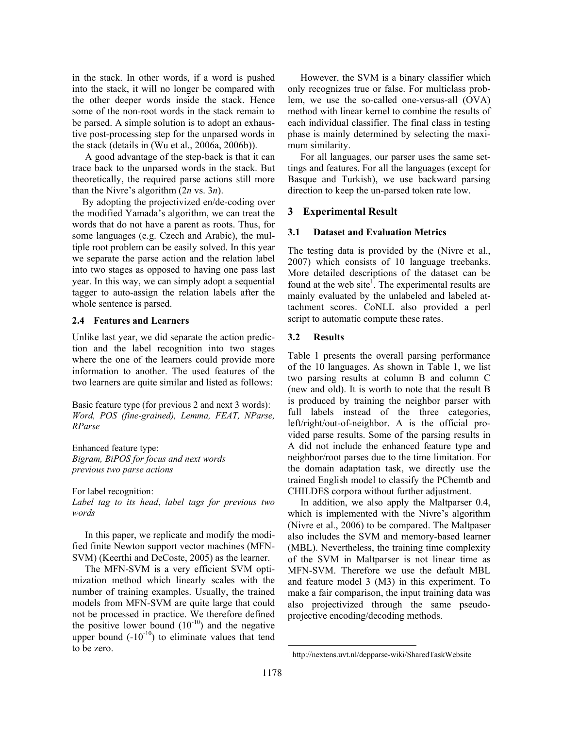in the stack. In other words, if a word is pushed into the stack, it will no longer be compared with the other deeper words inside the stack. Hence some of the non-root words in the stack remain to be parsed. A simple solution is to adopt an exhaustive post-processing step for the unparsed words in the stack (details in (Wu et al., 2006a, 2006b)).

A good advantage of the step-back is that it can trace back to the unparsed words in the stack. But theoretically, the required parse actions still more than the Nivre's algorithm (2*n* vs. 3*n*).

By adopting the projectivized en/de-coding over the modified Yamada's algorithm, we can treat the words that do not have a parent as roots. Thus, for some languages (e.g. Czech and Arabic), the multiple root problem can be easily solved. In this year we separate the parse action and the relation label into two stages as opposed to having one pass last year. In this way, we can simply adopt a sequential tagger to auto-assign the relation labels after the whole sentence is parsed.

#### **2.4 Features and Learners**

Unlike last year, we did separate the action prediction and the label recognition into two stages where the one of the learners could provide more information to another. The used features of the two learners are quite similar and listed as follows:

Basic feature type (for previous 2 and next 3 words): *Word, POS (fine-grained), Lemma, FEAT, NParse, RParse* 

Enhanced feature type: *Bigram, BiPOS for focus and next words previous two parse actions* 

For label recognition: *Label tag to its head*, *label tags for previous two words* 

In this paper, we replicate and modify the modified finite Newton support vector machines (MFN-SVM) (Keerthi and DeCoste, 2005) as the learner.

The MFN-SVM is a very efficient SVM optimization method which linearly scales with the number of training examples. Usually, the trained models from MFN-SVM are quite large that could not be processed in practice. We therefore defined the positive lower bound  $(10^{-10})$  and the negative upper bound  $(-10^{-10})$  to eliminate values that tend to be zero.

However, the SVM is a binary classifier which only recognizes true or false. For multiclass problem, we use the so-called one-versus-all (OVA) method with linear kernel to combine the results of each individual classifier. The final class in testing phase is mainly determined by selecting the maximum similarity.

For all languages, our parser uses the same settings and features. For all the languages (except for Basque and Turkish), we use backward parsing direction to keep the un-parsed token rate low.

# **3 Experimental Result**

### **3.1 Dataset and Evaluation Metrics**

The testing data is provided by the (Nivre et al., 2007) which consists of 10 language treebanks. More detailed descriptions of the dataset can be found at the web site<sup>1</sup>. The experimental results are mainly evaluated by the unlabeled and labeled attachment scores. CoNLL also provided a perl script to automatic compute these rates.

# **3.2 Results**

Table 1 presents the overall parsing performance of the 10 languages. As shown in Table 1, we list two parsing results at column B and column C (new and old). It is worth to note that the result B is produced by training the neighbor parser with full labels instead of the three categories, left/right/out-of-neighbor. A is the official provided parse results. Some of the parsing results in A did not include the enhanced feature type and neighbor/root parses due to the time limitation. For the domain adaptation task, we directly use the trained English model to classify the PChemtb and CHILDES corpora without further adjustment.

In addition, we also apply the Maltparser 0.4, which is implemented with the Nivre's algorithm (Nivre et al., 2006) to be compared. The Maltpaser also includes the SVM and memory-based learner (MBL). Nevertheless, the training time complexity of the SVM in Maltparser is not linear time as MFN-SVM. Therefore we use the default MBL and feature model 3 (M3) in this experiment. To make a fair comparison, the input training data was also projectivized through the same pseudoprojective encoding/decoding methods.

 $\overline{a}$ 

<sup>1</sup> http://nextens.uvt.nl/depparse-wiki/SharedTaskWebsite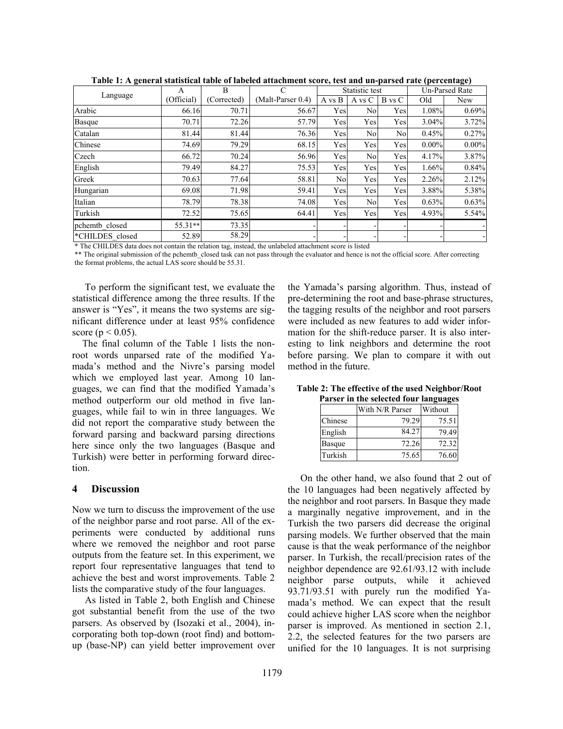|                 | A          | B          | C                 | Statistic test |                | <b>Un-Parsed Rate</b> |          |          |
|-----------------|------------|------------|-------------------|----------------|----------------|-----------------------|----------|----------|
| Language        | (Official) | Corrected) | (Malt-Parser 0.4) | A vs B         | A vs C         | B vs C                | Old      | New      |
| Arabic          | 66.16      | 70.71      | 56.67             | Yes            | No             | Yes                   | 1.08%    | 0.69%    |
| Basque          | 70.71      | 72.26      | 57.79             | Yes            | Yes            | Yes                   | 3.04%    | 3.72%    |
| Catalan         | 81.44      | 81.44      | 76.36             | Yes            | N <sub>o</sub> | Nol                   | 0.45%    | 0.27%    |
| Chinese         | 74.69      | 79.29      | 68.15             | Yes            | Yes            | Yes                   | $0.00\%$ | $0.00\%$ |
| Czech           | 66.72      | 70.24      | 56.96             | Yes            | N <sub>o</sub> | Yes                   | 4.17%    | 3.87%    |
| English         | 79.49      | 84.27      | 75.53             | Yes            | Yes            | Yes                   | 1.66%    | 0.84%    |
| Greek           | 70.63      | 77.64      | 58.81             | N <sub>o</sub> | Yes            | Yes                   | 2.26%    | 2.12%    |
| Hungarian       | 69.08      | 71.98      | 59.41             | Yes            | Yes            | Yes                   | 3.88%    | 5.38%    |
| Italian         | 78.79      | 78.38      | 74.08             | Yes            | No             | Yes                   | 0.63%    | 0.63%    |
| Turkish         | 72.52      | 75.65      | 64.41             | Yes            | Yes            | Yes                   | 4.93%    | 5.54%    |
| pchemtb closed  | 55.31**    | 73.35      |                   |                |                |                       |          |          |
| *CHILDES closed | 52.89      | 58.29      |                   |                |                |                       |          |          |

**Table 1: A general statistical table of labeled attachment score, test and un-parsed rate (percentage)** 

\* The CHILDES data does not contain the relation tag, instead, the unlabeled attachment score is listed

\*\* The original submission of the pchemtb\_closed task can not pass through the evaluator and hence is not the official score. After correcting the format problems, the actual LAS score should be 55.31.

To perform the significant test, we evaluate the statistical difference among the three results. If the answer is "Yes", it means the two systems are significant difference under at least 95% confidence score ( $p < 0.05$ ).

The final column of the Table 1 lists the nonroot words unparsed rate of the modified Yamada's method and the Nivre's parsing model which we employed last year. Among 10 languages, we can find that the modified Yamada's method outperform our old method in five languages, while fail to win in three languages. We did not report the comparative study between the forward parsing and backward parsing directions here since only the two languages (Basque and Turkish) were better in performing forward direction.

#### **4 Discussion**

Now we turn to discuss the improvement of the use of the neighbor parse and root parse. All of the experiments were conducted by additional runs where we removed the neighbor and root parse outputs from the feature set. In this experiment, we report four representative languages that tend to achieve the best and worst improvements. Table 2 lists the comparative study of the four languages.

As listed in Table 2, both English and Chinese got substantial benefit from the use of the two parsers. As observed by (Isozaki et al., 2004), incorporating both top-down (root find) and bottomup (base-NP) can yield better improvement over the Yamada's parsing algorithm. Thus, instead of pre-determining the root and base-phrase structures, the tagging results of the neighbor and root parsers were included as new features to add wider information for the shift-reduce parser. It is also interesting to link neighbors and determine the root before parsing. We plan to compare it with out method in the future.

| Table 2: The effective of the used Neighbor/Root |  |
|--------------------------------------------------|--|
| Parser in the selected four languages            |  |

|               | With N/R Parser | Without |  |  |
|---------------|-----------------|---------|--|--|
| Chinese       | 79.29           | 75.51   |  |  |
| English       | 84.27           | 79.49   |  |  |
| <b>Basque</b> | 72.26           | 72.32   |  |  |
| Turkish       | 75.65           | 76.60   |  |  |

On the other hand, we also found that 2 out of the 10 languages had been negatively affected by the neighbor and root parsers. In Basque they made a marginally negative improvement, and in the Turkish the two parsers did decrease the original parsing models. We further observed that the main cause is that the weak performance of the neighbor parser. In Turkish, the recall/precision rates of the neighbor dependence are 92.61/93.12 with include neighbor parse outputs, while it achieved 93.71/93.51 with purely run the modified Yamada's method. We can expect that the result could achieve higher LAS score when the neighbor parser is improved. As mentioned in section 2.1, 2.2, the selected features for the two parsers are unified for the 10 languages. It is not surprising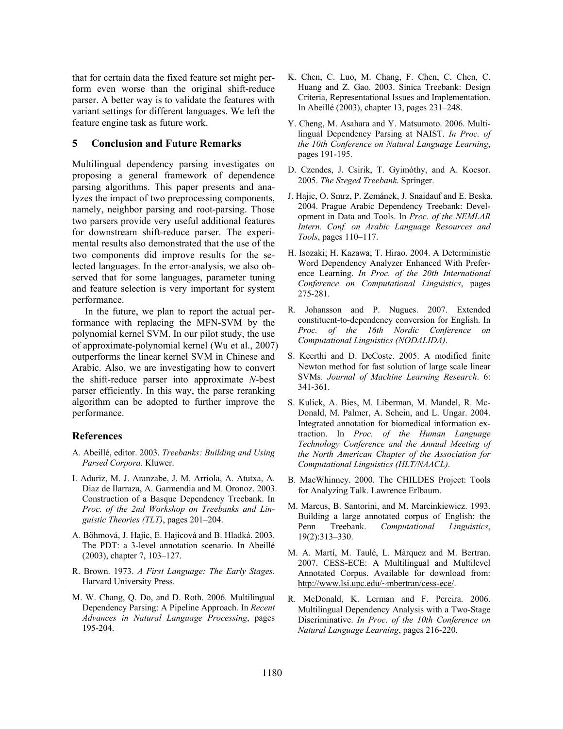that for certain data the fixed feature set might perform even worse than the original shift-reduce parser. A better way is to validate the features with variant settings for different languages. We left the feature engine task as future work.

### **5 Conclusion and Future Remarks**

Multilingual dependency parsing investigates on proposing a general framework of dependence parsing algorithms. This paper presents and analyzes the impact of two preprocessing components, namely, neighbor parsing and root-parsing. Those two parsers provide very useful additional features for downstream shift-reduce parser. The experimental results also demonstrated that the use of the two components did improve results for the selected languages. In the error-analysis, we also observed that for some languages, parameter tuning and feature selection is very important for system performance.

In the future, we plan to report the actual performance with replacing the MFN-SVM by the polynomial kernel SVM. In our pilot study, the use of approximate-polynomial kernel (Wu et al., 2007) outperforms the linear kernel SVM in Chinese and Arabic. Also, we are investigating how to convert the shift-reduce parser into approximate *N*-best parser efficiently. In this way, the parse reranking algorithm can be adopted to further improve the performance.

### **References**

- A. Abeillé, editor. 2003. *Treebanks: Building and Using Parsed Corpora*. Kluwer.
- I. Aduriz, M. J. Aranzabe, J. M. Arriola, A. Atutxa, A. Diaz de Ilarraza, A. Garmendia and M. Oronoz. 2003. Construction of a Basque Dependency Treebank. In *Proc. of the 2nd Workshop on Treebanks and Linguistic Theories (TLT)*, pages 201–204.
- A. Böhmová, J. Hajic, E. Hajicová and B. Hladká. 2003. The PDT: a 3-level annotation scenario. In Abeillé (2003), chapter 7, 103–127.
- R. Brown. 1973. *A First Language: The Early Stages*. Harvard University Press.
- M. W. Chang, Q. Do, and D. Roth. 2006. Multilingual Dependency Parsing: A Pipeline Approach. In *Recent Advances in Natural Language Processing*, pages 195-204.
- K. Chen, C. Luo, M. Chang, F. Chen, C. Chen, C. Huang and Z. Gao. 2003. Sinica Treebank: Design Criteria, Representational Issues and Implementation. In Abeillé (2003), chapter 13, pages 231–248.
- Y. Cheng, M. Asahara and Y. Matsumoto. 2006. Multilingual Dependency Parsing at NAIST. *In Proc. of the 10th Conference on Natural Language Learning*, pages 191-195.
- D. Czendes, J. Csirik, T. Gyimóthy, and A. Kocsor. 2005. *The Szeged Treebank*. Springer.
- J. Hajic, O. Smrz, P. Zemánek, J. Snaidauf and E. Beska. 2004. Prague Arabic Dependency Treebank: Development in Data and Tools. In *Proc. of the NEMLAR Intern. Conf. on Arabic Language Resources and Tools*, pages 110–117.
- H. Isozaki; H. Kazawa; T. Hirao. 2004. A Deterministic Word Dependency Analyzer Enhanced With Preference Learning. *In Proc. of the 20th International Conference on Computational Linguistics*, pages 275-281.
- R. Johansson and P. Nugues. 2007. Extended constituent-to-dependency conversion for English. In *Proc. of the 16th Nordic Conference on Computational Linguistics (NODALIDA)*.
- S. Keerthi and D. DeCoste. 2005. A modified finite Newton method for fast solution of large scale linear SVMs. *Journal of Machine Learning Research*. 6: 341-361.
- S. Kulick, A. Bies, M. Liberman, M. Mandel, R. Mc-Donald, M. Palmer, A. Schein, and L. Ungar. 2004. Integrated annotation for biomedical information extraction. In *Proc. of the Human Language Technology Conference and the Annual Meeting of the North American Chapter of the Association for Computational Linguistics (HLT/NAACL)*.
- B. MacWhinney. 2000. The CHILDES Project: Tools for Analyzing Talk. Lawrence Erlbaum.
- M. Marcus, B. Santorini, and M. Marcinkiewicz. 1993. Building a large annotated corpus of English: the Penn Treebank. *Computational Linguistics*, 19(2):313–330.
- M. A. Martí, M. Taulé, L. Màrquez and M. Bertran. 2007. CESS-ECE: A Multilingual and Multilevel Annotated Corpus. Available for download from: http://www.lsi.upc.edu/~mbertran/cess-ece/.
- R. McDonald, K. Lerman and F. Pereira. 2006. Multilingual Dependency Analysis with a Two-Stage Discriminative. *In Proc. of the 10th Conference on Natural Language Learning*, pages 216-220.